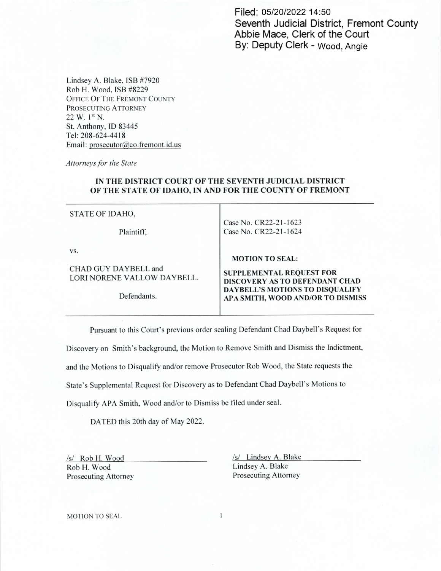Filed: 05/20/2022 14:50 Seventh Judicial District, Fremont County Abbie Mace, Clerk of the Court By: Deputy Clerk - Wood, Angie

Lindsey A. Blake, [SB #7920 Rob H. Wood, ISB #8229 OFFICE OF THE FREMONT COUNTY PROSECUTING ATTORNEY  $22 \text{ W. } 1^{\text{st}} \text{ N.}$ St. Anthony, ID 83445 Tel: 208-624-4418 Email: prosecutor@co.fremont.id.us

Attorneys for the State

## IN THE DISTRICT COURT OF THE SEVENTH JUDICIAL DISTRICT OF THE STATE OF IDAHO, IN AND FOR THE COUNTY OF FREMONT

STATE OF IDAHO,

Plaintiff,

Case No. CR22-21-1623 Case No. CR22—21-1624

vs.

CHAD GUY DAYBELL and LORI NORENE VALLOW DAYBELL.

Defendants.

## MOTION TO SEAL:

SUPPLEMENTAL REQUEST FOR DISCOVERY AS TO DEFENDANT CHAD DAYBELL'S MOTIONS TO DISQUALIFY APA SMITH, WOOD ANDIOR TO DISMISS

Pursuant to this Court's previous order sealing Defendant Chad Daybell's Request for

Discovery on Smith's background, the Motion to Remove Smith and Dismiss the Indictment,

and the Motions to Disqualify and/or remove Prosecutor Rob Wood, the State requests the

State's Supplemental Request for Discovery as to Defendant Chad Daybell's Motions to

Disqualify APA Smith, Wood and/or to Dismiss be filed under seal.

DATED this 20th day of May 2022.

Rob H. Wood Lindsey A. Blake<br>Prosecuting Attorney Prosecuting Attorney Prosecuting Attorney

/s/ Rob H. Wood /s/ Lindsey A. Blake

MOTION TO SEAL

 $\mathbf{1}$